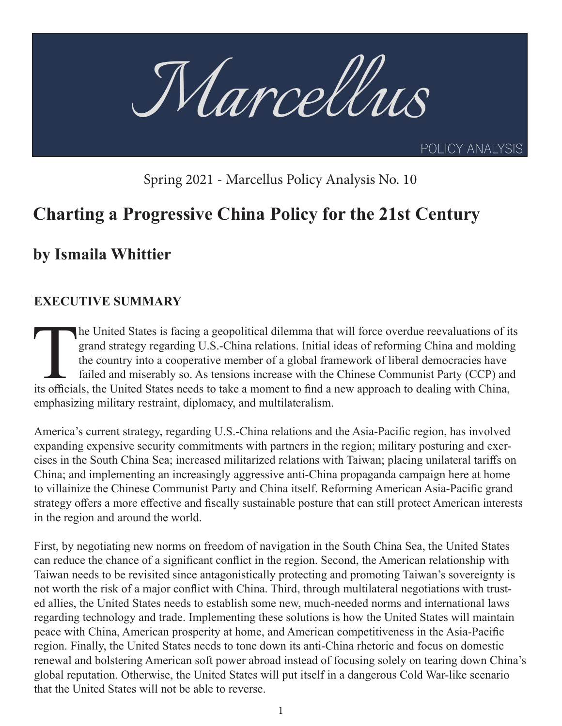

Spring 2021 - Marcellus Policy Analysis No. 10

# **Charting a Progressive China Policy for the 21st Century**

# **by Ismaila Whittier**

# **EXECUTIVE SUMMARY**

The United States is facing a geopolitical dilemma that will force overdue reevaluations of its grand strategy regarding U.S.-China relations. Initial ideas of reforming China and molding the country into a cooperative mem grand strategy regarding U.S.-China relations. Initial ideas of reforming China and molding the country into a cooperative member of a global framework of liberal democracies have failed and miserably so. As tensions increase with the Chinese Communist Party (CCP) and its officials, the United States needs to take a moment to find a new approach to dealing with China, emphasizing military restraint, diplomacy, and multilateralism.

America's current strategy, regarding U.S.-China relations and the Asia-Pacific region, has involved expanding expensive security commitments with partners in the region; military posturing and exercises in the South China Sea; increased militarized relations with Taiwan; placing unilateral tariffs on China; and implementing an increasingly aggressive anti-China propaganda campaign here at home to villainize the Chinese Communist Party and China itself. Reforming American Asia-Pacific grand strategy offers a more effective and fiscally sustainable posture that can still protect American interests in the region and around the world.

First, by negotiating new norms on freedom of navigation in the South China Sea, the United States can reduce the chance of a significant conflict in the region. Second, the American relationship with Taiwan needs to be revisited since antagonistically protecting and promoting Taiwan's sovereignty is not worth the risk of a major conflict with China. Third, through multilateral negotiations with trusted allies, the United States needs to establish some new, much-needed norms and international laws regarding technology and trade. Implementing these solutions is how the United States will maintain peace with China, American prosperity at home, and American competitiveness in the Asia-Pacific region. Finally, the United States needs to tone down its anti-China rhetoric and focus on domestic renewal and bolstering American soft power abroad instead of focusing solely on tearing down China's global reputation. Otherwise, the United States will put itself in a dangerous Cold War-like scenario that the United States will not be able to reverse.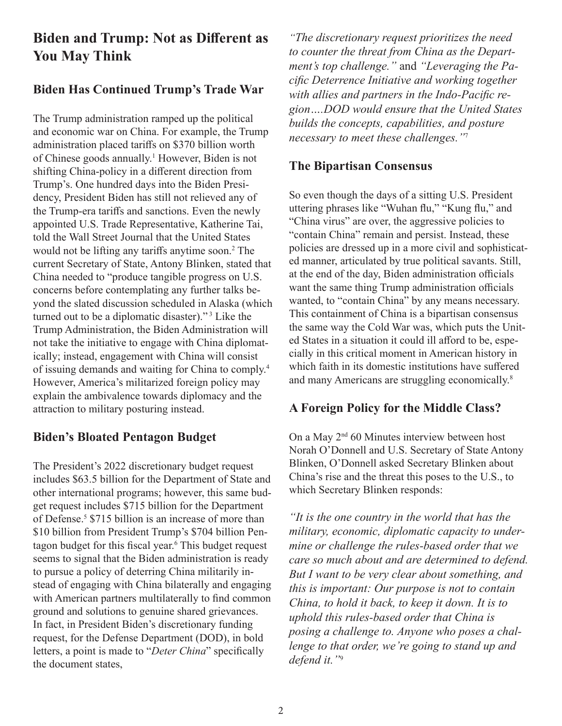# **Biden and Trump: Not as Different as You May Think**

## **Biden Has Continued Trump's Trade War**

The Trump administration ramped up the political and economic war on China. For example, the Trump administration placed tariffs on \$370 billion worth of Chinese goods annually.<sup>1</sup> However, Biden is not shifting China-policy in a different direction from Trump's. One hundred days into the Biden Presidency, President Biden has still not relieved any of the Trump-era tariffs and sanctions. Even the newly appointed U.S. Trade Representative, Katherine Tai, told the Wall Street Journal that the United States would not be lifting any tariffs anytime soon.<sup>2</sup> The current Secretary of State, Antony Blinken, stated that China needed to "produce tangible progress on U.S. concerns before contemplating any further talks beyond the slated discussion scheduled in Alaska (which turned out to be a diplomatic disaster)."<sup>3</sup> Like the Trump Administration, the Biden Administration will not take the initiative to engage with China diplomatically; instead, engagement with China will consist of issuing demands and waiting for China to comply.4 However, America's militarized foreign policy may explain the ambivalence towards diplomacy and the attraction to military posturing instead.

# **Biden's Bloated Pentagon Budget**

The President's 2022 discretionary budget request includes \$63.5 billion for the Department of State and other international programs; however, this same budget request includes \$715 billion for the Department of Defense.<sup>5</sup> \$715 billion is an increase of more than \$10 billion from President Trump's \$704 billion Pentagon budget for this fiscal year.<sup>6</sup> This budget request seems to signal that the Biden administration is ready to pursue a policy of deterring China militarily instead of engaging with China bilaterally and engaging with American partners multilaterally to find common ground and solutions to genuine shared grievances. In fact, in President Biden's discretionary funding request, for the Defense Department (DOD), in bold letters, a point is made to "*Deter China*" specifically the document states,

*"The discretionary request prioritizes the need to counter the threat from China as the Department's top challenge."* and *"Leveraging the Pacific Deterrence Initiative and working together with allies and partners in the Indo-Pacific region….DOD would ensure that the United States builds the concepts, capabilities, and posture necessary to meet these challenges."*<sup>7</sup>

## **The Bipartisan Consensus**

So even though the days of a sitting U.S. President uttering phrases like "Wuhan flu," "Kung flu," and "China virus" are over, the aggressive policies to "contain China" remain and persist. Instead, these policies are dressed up in a more civil and sophisticated manner, articulated by true political savants. Still, at the end of the day, Biden administration officials want the same thing Trump administration officials wanted, to "contain China" by any means necessary. This containment of China is a bipartisan consensus the same way the Cold War was, which puts the United States in a situation it could ill afford to be, especially in this critical moment in American history in which faith in its domestic institutions have suffered and many Americans are struggling economically.8

### **A Foreign Policy for the Middle Class?**

On a May  $2<sup>nd</sup>$  60 Minutes interview between host Norah O'Donnell and U.S. Secretary of State Antony Blinken, O'Donnell asked Secretary Blinken about China's rise and the threat this poses to the U.S., to which Secretary Blinken responds:

*"It is the one country in the world that has the military, economic, diplomatic capacity to undermine or challenge the rules-based order that we care so much about and are determined to defend. But I want to be very clear about something, and this is important: Our purpose is not to contain China, to hold it back, to keep it down. It is to uphold this rules-based order that China is posing a challenge to. Anyone who poses a challenge to that order, we're going to stand up and defend it."*9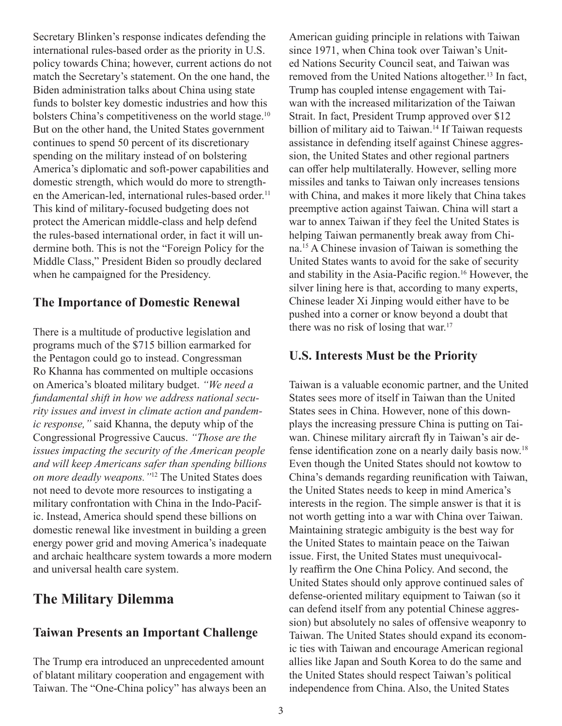Secretary Blinken's response indicates defending the international rules-based order as the priority in U.S. policy towards China; however, current actions do not match the Secretary's statement. On the one hand, the Biden administration talks about China using state funds to bolster key domestic industries and how this bolsters China's competitiveness on the world stage.<sup>10</sup> But on the other hand, the United States government continues to spend 50 percent of its discretionary spending on the military instead of on bolstering America's diplomatic and soft-power capabilities and domestic strength, which would do more to strengthen the American-led, international rules-based order.<sup>11</sup> This kind of military-focused budgeting does not protect the American middle-class and help defend the rules-based international order, in fact it will undermine both. This is not the "Foreign Policy for the Middle Class," President Biden so proudly declared when he campaigned for the Presidency.

#### **The Importance of Domestic Renewal**

There is a multitude of productive legislation and programs much of the \$715 billion earmarked for the Pentagon could go to instead. Congressman Ro Khanna has commented on multiple occasions on America's bloated military budget. *"We need a fundamental shift in how we address national security issues and invest in climate action and pandemic response,"* said Khanna, the deputy whip of the Congressional Progressive Caucus. *"Those are the issues impacting the security of the American people and will keep Americans safer than spending billions on more deadly weapons."*12 The United States does not need to devote more resources to instigating a military confrontation with China in the Indo-Pacific. Instead, America should spend these billions on domestic renewal like investment in building a green energy power grid and moving America's inadequate and archaic healthcare system towards a more modern and universal health care system.

# **The Military Dilemma**

## **Taiwan Presents an Important Challenge**

The Trump era introduced an unprecedented amount of blatant military cooperation and engagement with Taiwan. The "One-China policy" has always been an American guiding principle in relations with Taiwan since 1971, when China took over Taiwan's United Nations Security Council seat, and Taiwan was removed from the United Nations altogether.13 In fact, Trump has coupled intense engagement with Taiwan with the increased militarization of the Taiwan Strait. In fact, President Trump approved over \$12 billion of military aid to Taiwan.<sup>14</sup> If Taiwan requests assistance in defending itself against Chinese aggression, the United States and other regional partners can offer help multilaterally. However, selling more missiles and tanks to Taiwan only increases tensions with China, and makes it more likely that China takes preemptive action against Taiwan. China will start a war to annex Taiwan if they feel the United States is helping Taiwan permanently break away from China.<sup>15</sup> A Chinese invasion of Taiwan is something the United States wants to avoid for the sake of security and stability in the Asia-Pacific region.16 However, the silver lining here is that, according to many experts, Chinese leader Xi Jinping would either have to be pushed into a corner or know beyond a doubt that there was no risk of losing that war.<sup>17</sup>

#### **U.S. Interests Must be the Priority**

Taiwan is a valuable economic partner, and the United States sees more of itself in Taiwan than the United States sees in China. However, none of this downplays the increasing pressure China is putting on Taiwan. Chinese military aircraft fly in Taiwan's air defense identification zone on a nearly daily basis now.<sup>18</sup> Even though the United States should not kowtow to China's demands regarding reunification with Taiwan, the United States needs to keep in mind America's interests in the region. The simple answer is that it is not worth getting into a war with China over Taiwan. Maintaining strategic ambiguity is the best way for the United States to maintain peace on the Taiwan issue. First, the United States must unequivocally reaffirm the One China Policy. And second, the United States should only approve continued sales of defense-oriented military equipment to Taiwan (so it can defend itself from any potential Chinese aggression) but absolutely no sales of offensive weaponry to Taiwan. The United States should expand its economic ties with Taiwan and encourage American regional allies like Japan and South Korea to do the same and the United States should respect Taiwan's political independence from China. Also, the United States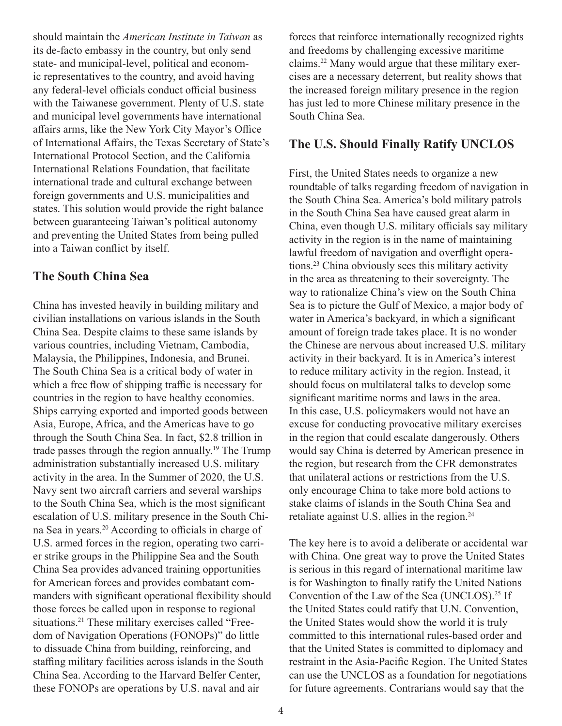should maintain the *American Institute in Taiwan* as its de-facto embassy in the country, but only send state- and municipal-level, political and economic representatives to the country, and avoid having any federal-level officials conduct official business with the Taiwanese government. Plenty of U.S. state and municipal level governments have international affairs arms, like the New York City Mayor's Office of International Affairs, the Texas Secretary of State's International Protocol Section, and the California International Relations Foundation, that facilitate international trade and cultural exchange between foreign governments and U.S. municipalities and states. This solution would provide the right balance between guaranteeing Taiwan's political autonomy and preventing the United States from being pulled into a Taiwan conflict by itself.

#### **The South China Sea**

China has invested heavily in building military and civilian installations on various islands in the South China Sea. Despite claims to these same islands by various countries, including Vietnam, Cambodia, Malaysia, the Philippines, Indonesia, and Brunei. The South China Sea is a critical body of water in which a free flow of shipping traffic is necessary for countries in the region to have healthy economies. Ships carrying exported and imported goods between Asia, Europe, Africa, and the Americas have to go through the South China Sea. In fact, \$2.8 trillion in trade passes through the region annually.19 The Trump administration substantially increased U.S. military activity in the area. In the Summer of 2020, the U.S. Navy sent two aircraft carriers and several warships to the South China Sea, which is the most significant escalation of U.S. military presence in the South China Sea in years.20 According to officials in charge of U.S. armed forces in the region, operating two carrier strike groups in the Philippine Sea and the South China Sea provides advanced training opportunities for American forces and provides combatant commanders with significant operational flexibility should those forces be called upon in response to regional situations.<sup>21</sup> These military exercises called "Freedom of Navigation Operations (FONOPs)" do little to dissuade China from building, reinforcing, and staffing military facilities across islands in the South China Sea. According to the Harvard Belfer Center, these FONOPs are operations by U.S. naval and air

forces that reinforce internationally recognized rights and freedoms by challenging excessive maritime claims.22 Many would argue that these military exercises are a necessary deterrent, but reality shows that the increased foreign military presence in the region has just led to more Chinese military presence in the South China Sea.

#### **The U.S. Should Finally Ratify UNCLOS**

First, the United States needs to organize a new roundtable of talks regarding freedom of navigation in the South China Sea. America's bold military patrols in the South China Sea have caused great alarm in China, even though U.S. military officials say military activity in the region is in the name of maintaining lawful freedom of navigation and overflight operations.<sup>23</sup> China obviously sees this military activity in the area as threatening to their sovereignty. The way to rationalize China's view on the South China Sea is to picture the Gulf of Mexico, a major body of water in America's backyard, in which a significant amount of foreign trade takes place. It is no wonder the Chinese are nervous about increased U.S. military activity in their backyard. It is in America's interest to reduce military activity in the region. Instead, it should focus on multilateral talks to develop some significant maritime norms and laws in the area. In this case, U.S. policymakers would not have an excuse for conducting provocative military exercises in the region that could escalate dangerously. Others would say China is deterred by American presence in the region, but research from the CFR demonstrates that unilateral actions or restrictions from the U.S. only encourage China to take more bold actions to stake claims of islands in the South China Sea and retaliate against U.S. allies in the region.24

The key here is to avoid a deliberate or accidental war with China. One great way to prove the United States is serious in this regard of international maritime law is for Washington to finally ratify the United Nations Convention of the Law of the Sea (UNCLOS).<sup>25</sup> If the United States could ratify that U.N. Convention, the United States would show the world it is truly committed to this international rules-based order and that the United States is committed to diplomacy and restraint in the Asia-Pacific Region. The United States can use the UNCLOS as a foundation for negotiations for future agreements. Contrarians would say that the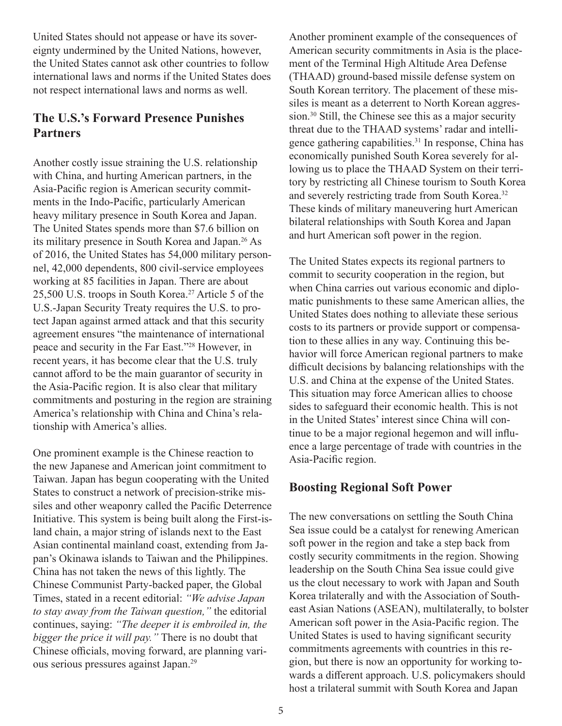United States should not appease or have its sovereignty undermined by the United Nations, however, the United States cannot ask other countries to follow international laws and norms if the United States does not respect international laws and norms as well.

## **The U.S.'s Forward Presence Punishes Partners**

Another costly issue straining the U.S. relationship with China, and hurting American partners, in the Asia-Pacific region is American security commitments in the Indo-Pacific, particularly American heavy military presence in South Korea and Japan. The United States spends more than \$7.6 billion on its military presence in South Korea and Japan.26 As of 2016, the United States has 54,000 military personnel, 42,000 dependents, 800 civil-service employees working at 85 facilities in Japan. There are about 25,500 U.S. troops in South Korea.<sup>27</sup> Article 5 of the U.S.-Japan Security Treaty requires the U.S. to protect Japan against armed attack and that this security agreement ensures "the maintenance of international peace and security in the Far East."<sup>28</sup> However, in recent years, it has become clear that the U.S. truly cannot afford to be the main guarantor of security in the Asia-Pacific region. It is also clear that military commitments and posturing in the region are straining America's relationship with China and China's relationship with America's allies.

One prominent example is the Chinese reaction to the new Japanese and American joint commitment to Taiwan. Japan has begun cooperating with the United States to construct a network of precision-strike missiles and other weaponry called the Pacific Deterrence Initiative. This system is being built along the First-island chain, a major string of islands next to the East Asian continental mainland coast, extending from Japan's Okinawa islands to Taiwan and the Philippines. China has not taken the news of this lightly. The Chinese Communist Party-backed paper, the Global Times, stated in a recent editorial: *"We advise Japan to stay away from the Taiwan question,"* the editorial continues, saying: *"The deeper it is embroiled in, the bigger the price it will pay."* There is no doubt that Chinese officials, moving forward, are planning various serious pressures against Japan.<sup>29</sup>

Another prominent example of the consequences of American security commitments in Asia is the placement of the Terminal High Altitude Area Defense (THAAD) ground-based missile defense system on South Korean territory. The placement of these missiles is meant as a deterrent to North Korean aggression.30 Still, the Chinese see this as a major security threat due to the THAAD systems' radar and intelligence gathering capabilities.<sup>31</sup> In response, China has economically punished South Korea severely for allowing us to place the THAAD System on their territory by restricting all Chinese tourism to South Korea and severely restricting trade from South Korea.32 These kinds of military maneuvering hurt American bilateral relationships with South Korea and Japan and hurt American soft power in the region.

The United States expects its regional partners to commit to security cooperation in the region, but when China carries out various economic and diplomatic punishments to these same American allies, the United States does nothing to alleviate these serious costs to its partners or provide support or compensation to these allies in any way. Continuing this behavior will force American regional partners to make difficult decisions by balancing relationships with the U.S. and China at the expense of the United States. This situation may force American allies to choose sides to safeguard their economic health. This is not in the United States' interest since China will continue to be a major regional hegemon and will influence a large percentage of trade with countries in the Asia-Pacific region.

## **Boosting Regional Soft Power**

The new conversations on settling the South China Sea issue could be a catalyst for renewing American soft power in the region and take a step back from costly security commitments in the region. Showing leadership on the South China Sea issue could give us the clout necessary to work with Japan and South Korea trilaterally and with the Association of Southeast Asian Nations (ASEAN), multilaterally, to bolster American soft power in the Asia-Pacific region. The United States is used to having significant security commitments agreements with countries in this region, but there is now an opportunity for working towards a different approach. U.S. policymakers should host a trilateral summit with South Korea and Japan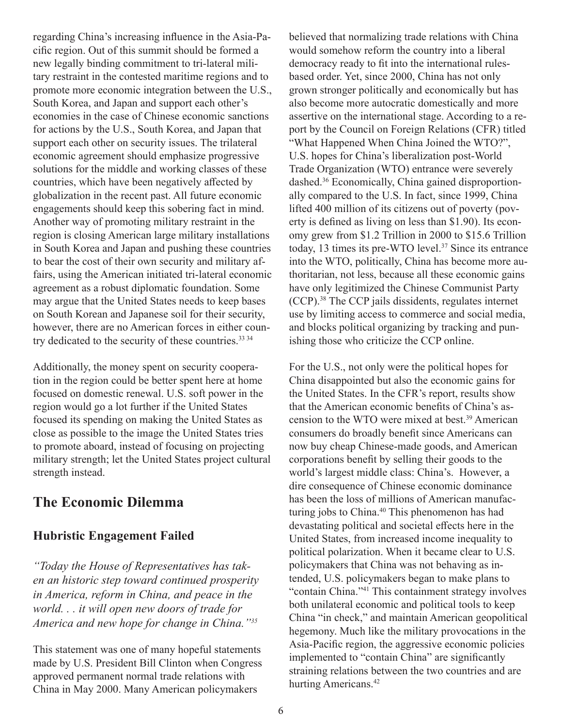regarding China's increasing influence in the Asia-Pacific region. Out of this summit should be formed a new legally binding commitment to tri-lateral military restraint in the contested maritime regions and to promote more economic integration between the U.S., South Korea, and Japan and support each other's economies in the case of Chinese economic sanctions for actions by the U.S., South Korea, and Japan that support each other on security issues. The trilateral economic agreement should emphasize progressive solutions for the middle and working classes of these countries, which have been negatively affected by globalization in the recent past. All future economic engagements should keep this sobering fact in mind. Another way of promoting military restraint in the region is closing American large military installations in South Korea and Japan and pushing these countries to bear the cost of their own security and military affairs, using the American initiated tri-lateral economic agreement as a robust diplomatic foundation. Some may argue that the United States needs to keep bases on South Korean and Japanese soil for their security, however, there are no American forces in either country dedicated to the security of these countries.<sup>33 34</sup>

Additionally, the money spent on security cooperation in the region could be better spent here at home focused on domestic renewal. U.S. soft power in the region would go a lot further if the United States focused its spending on making the United States as close as possible to the image the United States tries to promote aboard, instead of focusing on projecting military strength; let the United States project cultural strength instead.

# **The Economic Dilemma**

### **Hubristic Engagement Failed**

*"Today the House of Representatives has taken an historic step toward continued prosperity in America, reform in China, and peace in the world. . . it will open new doors of trade for America and new hope for change in China."<sup>35</sup>*

This statement was one of many hopeful statements made by U.S. President Bill Clinton when Congress approved permanent normal trade relations with China in May 2000. Many American policymakers

believed that normalizing trade relations with China would somehow reform the country into a liberal democracy ready to fit into the international rulesbased order. Yet, since 2000, China has not only grown stronger politically and economically but has also become more autocratic domestically and more assertive on the international stage. According to a report by the Council on Foreign Relations (CFR) titled "What Happened When China Joined the WTO?", U.S. hopes for China's liberalization post-World Trade Organization (WTO) entrance were severely dashed.36 Economically, China gained disproportionally compared to the U.S. In fact, since 1999, China lifted 400 million of its citizens out of poverty (poverty is defined as living on less than \$1.90). Its economy grew from \$1.2 Trillion in 2000 to \$15.6 Trillion today, 13 times its pre-WTO level.<sup>37</sup> Since its entrance into the WTO, politically, China has become more authoritarian, not less, because all these economic gains have only legitimized the Chinese Communist Party (CCP).38 The CCP jails dissidents, regulates internet use by limiting access to commerce and social media, and blocks political organizing by tracking and punishing those who criticize the CCP online.

For the U.S., not only were the political hopes for China disappointed but also the economic gains for the United States. In the CFR's report, results show that the American economic benefits of China's ascension to the WTO were mixed at best.39 American consumers do broadly benefit since Americans can now buy cheap Chinese-made goods, and American corporations benefit by selling their goods to the world's largest middle class: China's. However, a dire consequence of Chinese economic dominance has been the loss of millions of American manufacturing jobs to China.<sup>40</sup> This phenomenon has had devastating political and societal effects here in the United States, from increased income inequality to political polarization. When it became clear to U.S. policymakers that China was not behaving as intended, U.S. policymakers began to make plans to "contain China."41 This containment strategy involves both unilateral economic and political tools to keep China "in check," and maintain American geopolitical hegemony. Much like the military provocations in the Asia-Pacific region, the aggressive economic policies implemented to "contain China" are significantly straining relations between the two countries and are hurting Americans.<sup>42</sup>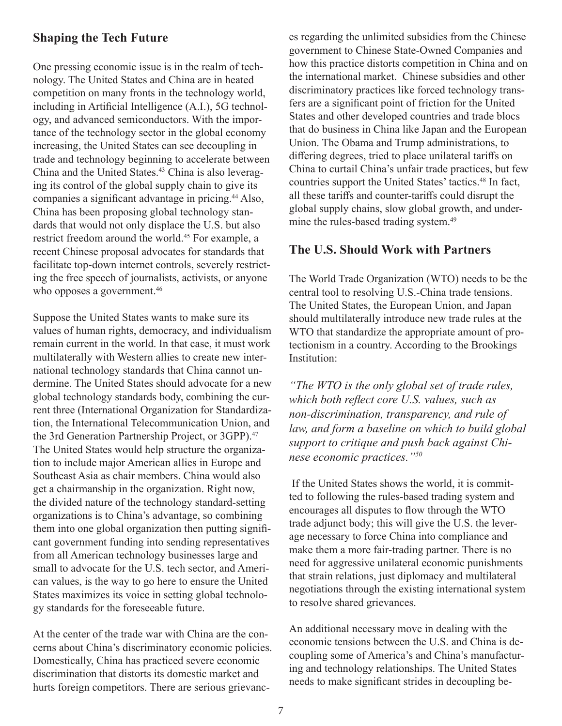#### **Shaping the Tech Future**

One pressing economic issue is in the realm of technology. The United States and China are in heated competition on many fronts in the technology world, including in Artificial Intelligence (A.I.), 5G technology, and advanced semiconductors. With the importance of the technology sector in the global economy increasing, the United States can see decoupling in trade and technology beginning to accelerate between China and the United States.<sup>43</sup> China is also leveraging its control of the global supply chain to give its companies a significant advantage in pricing.<sup>44</sup> Also, China has been proposing global technology standards that would not only displace the U.S. but also restrict freedom around the world.45 For example, a recent Chinese proposal advocates for standards that facilitate top-down internet controls, severely restricting the free speech of journalists, activists, or anyone who opposes a government.<sup>46</sup>

Suppose the United States wants to make sure its values of human rights, democracy, and individualism remain current in the world. In that case, it must work multilaterally with Western allies to create new international technology standards that China cannot undermine. The United States should advocate for a new global technology standards body, combining the current three (International Organization for Standardization, the International Telecommunication Union, and the 3rd Generation Partnership Project, or 3GPP).<sup>47</sup> The United States would help structure the organization to include major American allies in Europe and Southeast Asia as chair members. China would also get a chairmanship in the organization. Right now, the divided nature of the technology standard-setting organizations is to China's advantage, so combining them into one global organization then putting significant government funding into sending representatives from all American technology businesses large and small to advocate for the U.S. tech sector, and American values, is the way to go here to ensure the United States maximizes its voice in setting global technology standards for the foreseeable future.

At the center of the trade war with China are the concerns about China's discriminatory economic policies. Domestically, China has practiced severe economic discrimination that distorts its domestic market and hurts foreign competitors. There are serious grievances regarding the unlimited subsidies from the Chinese government to Chinese State-Owned Companies and how this practice distorts competition in China and on the international market. Chinese subsidies and other discriminatory practices like forced technology transfers are a significant point of friction for the United States and other developed countries and trade blocs that do business in China like Japan and the European Union. The Obama and Trump administrations, to differing degrees, tried to place unilateral tariffs on China to curtail China's unfair trade practices, but few countries support the United States' tactics.<sup>48</sup> In fact, all these tariffs and counter-tariffs could disrupt the global supply chains, slow global growth, and undermine the rules-based trading system.<sup>49</sup>

#### **The U.S. Should Work with Partners**

The World Trade Organization (WTO) needs to be the central tool to resolving U.S.-China trade tensions. The United States, the European Union, and Japan should multilaterally introduce new trade rules at the WTO that standardize the appropriate amount of protectionism in a country. According to the Brookings Institution:

*"The WTO is the only global set of trade rules, which both reflect core U.S. values, such as non-discrimination, transparency, and rule of law, and form a baseline on which to build global support to critique and push back against Chinese economic practices."50*

 If the United States shows the world, it is committed to following the rules-based trading system and encourages all disputes to flow through the WTO trade adjunct body; this will give the U.S. the leverage necessary to force China into compliance and make them a more fair-trading partner. There is no need for aggressive unilateral economic punishments that strain relations, just diplomacy and multilateral negotiations through the existing international system to resolve shared grievances.

An additional necessary move in dealing with the economic tensions between the U.S. and China is decoupling some of America's and China's manufacturing and technology relationships. The United States needs to make significant strides in decoupling be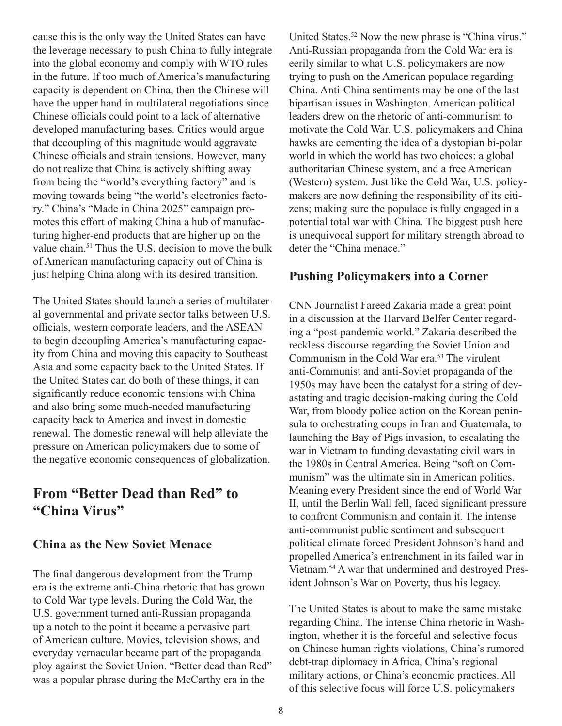cause this is the only way the United States can have the leverage necessary to push China to fully integrate into the global economy and comply with WTO rules in the future. If too much of America's manufacturing capacity is dependent on China, then the Chinese will have the upper hand in multilateral negotiations since Chinese officials could point to a lack of alternative developed manufacturing bases. Critics would argue that decoupling of this magnitude would aggravate Chinese officials and strain tensions. However, many do not realize that China is actively shifting away from being the "world's everything factory" and is moving towards being "the world's electronics factory." China's "Made in China 2025" campaign promotes this effort of making China a hub of manufacturing higher-end products that are higher up on the value chain.<sup>51</sup> Thus the U.S. decision to move the bulk of American manufacturing capacity out of China is just helping China along with its desired transition.

The United States should launch a series of multilateral governmental and private sector talks between U.S. officials, western corporate leaders, and the ASEAN to begin decoupling America's manufacturing capacity from China and moving this capacity to Southeast Asia and some capacity back to the United States. If the United States can do both of these things, it can significantly reduce economic tensions with China and also bring some much-needed manufacturing capacity back to America and invest in domestic renewal. The domestic renewal will help alleviate the pressure on American policymakers due to some of the negative economic consequences of globalization.

# **From "Better Dead than Red" to "China Virus"**

#### **China as the New Soviet Menace**

The final dangerous development from the Trump era is the extreme anti-China rhetoric that has grown to Cold War type levels. During the Cold War, the U.S. government turned anti-Russian propaganda up a notch to the point it became a pervasive part of American culture. Movies, television shows, and everyday vernacular became part of the propaganda ploy against the Soviet Union. "Better dead than Red" was a popular phrase during the McCarthy era in the

United States.<sup>52</sup> Now the new phrase is "China virus." Anti-Russian propaganda from the Cold War era is eerily similar to what U.S. policymakers are now trying to push on the American populace regarding China. Anti-China sentiments may be one of the last bipartisan issues in Washington. American political leaders drew on the rhetoric of anti-communism to motivate the Cold War. U.S. policymakers and China hawks are cementing the idea of a dystopian bi-polar world in which the world has two choices: a global authoritarian Chinese system, and a free American (Western) system. Just like the Cold War, U.S. policymakers are now defining the responsibility of its citizens; making sure the populace is fully engaged in a potential total war with China. The biggest push here is unequivocal support for military strength abroad to deter the "China menace."

#### **Pushing Policymakers into a Corner**

CNN Journalist Fareed Zakaria made a great point in a discussion at the Harvard Belfer Center regarding a "post-pandemic world." Zakaria described the reckless discourse regarding the Soviet Union and Communism in the Cold War era.53 The virulent anti-Communist and anti-Soviet propaganda of the 1950s may have been the catalyst for a string of devastating and tragic decision-making during the Cold War, from bloody police action on the Korean peninsula to orchestrating coups in Iran and Guatemala, to launching the Bay of Pigs invasion, to escalating the war in Vietnam to funding devastating civil wars in the 1980s in Central America. Being "soft on Communism" was the ultimate sin in American politics. Meaning every President since the end of World War II, until the Berlin Wall fell, faced significant pressure to confront Communism and contain it. The intense anti-communist public sentiment and subsequent political climate forced President Johnson's hand and propelled America's entrenchment in its failed war in Vietnam.54 A war that undermined and destroyed President Johnson's War on Poverty, thus his legacy.

The United States is about to make the same mistake regarding China. The intense China rhetoric in Washington, whether it is the forceful and selective focus on Chinese human rights violations, China's rumored debt-trap diplomacy in Africa, China's regional military actions, or China's economic practices. All of this selective focus will force U.S. policymakers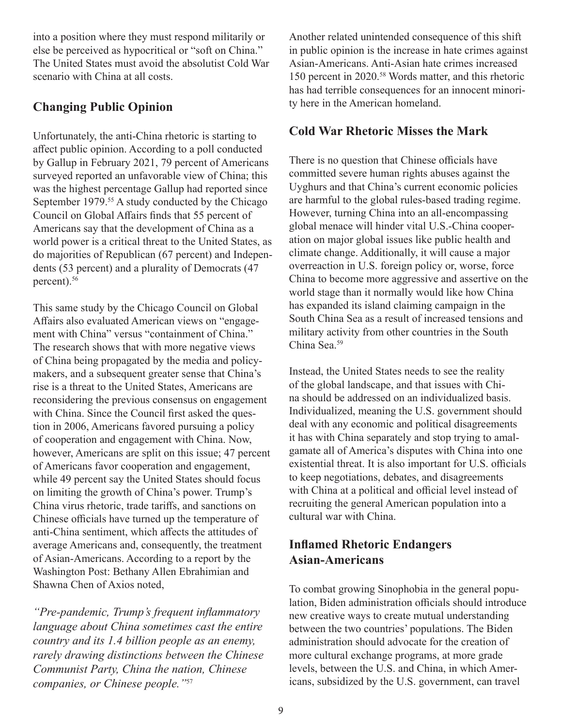into a position where they must respond militarily or else be perceived as hypocritical or "soft on China." The United States must avoid the absolutist Cold War scenario with China at all costs.

## **Changing Public Opinion**

Unfortunately, the anti-China rhetoric is starting to affect public opinion. According to a poll conducted by Gallup in February 2021, 79 percent of Americans surveyed reported an unfavorable view of China; this was the highest percentage Gallup had reported since September 1979.<sup>55</sup> A study conducted by the Chicago Council on Global Affairs finds that 55 percent of Americans say that the development of China as a world power is a critical threat to the United States, as do majorities of Republican (67 percent) and Independents (53 percent) and a plurality of Democrats (47 percent).<sup>56</sup>

This same study by the Chicago Council on Global Affairs also evaluated American views on "engagement with China" versus "containment of China." The research shows that with more negative views of China being propagated by the media and policymakers, and a subsequent greater sense that China's rise is a threat to the United States, Americans are reconsidering the previous consensus on engagement with China. Since the Council first asked the question in 2006, Americans favored pursuing a policy of cooperation and engagement with China. Now, however, Americans are split on this issue; 47 percent of Americans favor cooperation and engagement, while 49 percent say the United States should focus on limiting the growth of China's power. Trump's China virus rhetoric, trade tariffs, and sanctions on Chinese officials have turned up the temperature of anti-China sentiment, which affects the attitudes of average Americans and, consequently, the treatment of Asian-Americans. According to a report by the Washington Post: Bethany Allen Ebrahimian and Shawna Chen of Axios noted,

*"Pre-pandemic, Trump's frequent inflammatory language about China sometimes cast the entire country and its 1.4 billion people as an enemy, rarely drawing distinctions between the Chinese Communist Party, China the nation, Chinese companies, or Chinese people."*<sup>57</sup>

Another related unintended consequence of this shift in public opinion is the increase in hate crimes against Asian-Americans. Anti-Asian hate crimes increased 150 percent in 2020.58 Words matter, and this rhetoric has had terrible consequences for an innocent minority here in the American homeland.

## **Cold War Rhetoric Misses the Mark**

There is no question that Chinese officials have committed severe human rights abuses against the Uyghurs and that China's current economic policies are harmful to the global rules-based trading regime. However, turning China into an all-encompassing global menace will hinder vital U.S.-China cooperation on major global issues like public health and climate change. Additionally, it will cause a major overreaction in U.S. foreign policy or, worse, force China to become more aggressive and assertive on the world stage than it normally would like how China has expanded its island claiming campaign in the South China Sea as a result of increased tensions and military activity from other countries in the South China Sea.<sup>59</sup>

Instead, the United States needs to see the reality of the global landscape, and that issues with China should be addressed on an individualized basis. Individualized, meaning the U.S. government should deal with any economic and political disagreements it has with China separately and stop trying to amalgamate all of America's disputes with China into one existential threat. It is also important for U.S. officials to keep negotiations, debates, and disagreements with China at a political and official level instead of recruiting the general American population into a cultural war with China.

## **Inflamed Rhetoric Endangers Asian-Americans**

To combat growing Sinophobia in the general population, Biden administration officials should introduce new creative ways to create mutual understanding between the two countries' populations. The Biden administration should advocate for the creation of more cultural exchange programs, at more grade levels, between the U.S. and China, in which Americans, subsidized by the U.S. government, can travel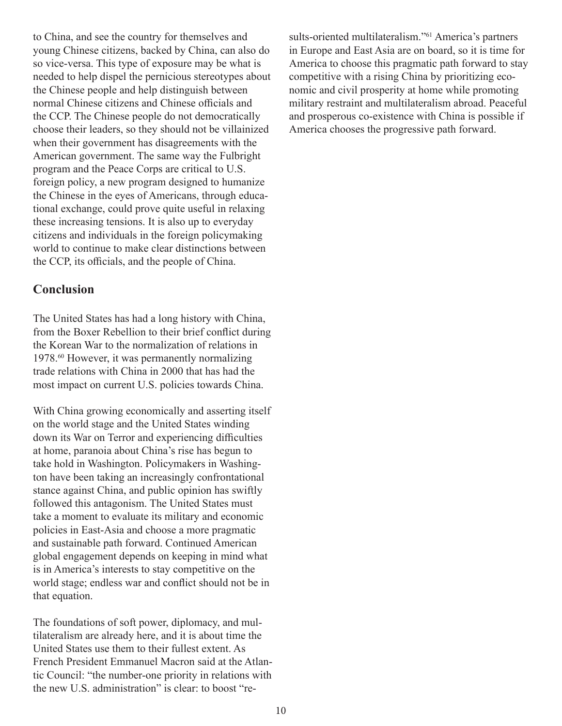to China, and see the country for themselves and young Chinese citizens, backed by China, can also do so vice-versa. This type of exposure may be what is needed to help dispel the pernicious stereotypes about the Chinese people and help distinguish between normal Chinese citizens and Chinese officials and the CCP. The Chinese people do not democratically choose their leaders, so they should not be villainized when their government has disagreements with the American government. The same way the Fulbright program and the Peace Corps are critical to U.S. foreign policy, a new program designed to humanize the Chinese in the eyes of Americans, through educational exchange, could prove quite useful in relaxing these increasing tensions. It is also up to everyday citizens and individuals in the foreign policymaking world to continue to make clear distinctions between the CCP, its officials, and the people of China.

#### **Conclusion**

The United States has had a long history with China, from the Boxer Rebellion to their brief conflict during the Korean War to the normalization of relations in 1978.60 However, it was permanently normalizing trade relations with China in 2000 that has had the most impact on current U.S. policies towards China.

With China growing economically and asserting itself on the world stage and the United States winding down its War on Terror and experiencing difficulties at home, paranoia about China's rise has begun to take hold in Washington. Policymakers in Washington have been taking an increasingly confrontational stance against China, and public opinion has swiftly followed this antagonism. The United States must take a moment to evaluate its military and economic policies in East-Asia and choose a more pragmatic and sustainable path forward. Continued American global engagement depends on keeping in mind what is in America's interests to stay competitive on the world stage; endless war and conflict should not be in that equation.

The foundations of soft power, diplomacy, and multilateralism are already here, and it is about time the United States use them to their fullest extent. As French President Emmanuel Macron said at the Atlantic Council: "the number-one priority in relations with the new U.S. administration" is clear: to boost "results-oriented multilateralism."<sup>61</sup> America's partners in Europe and East Asia are on board, so it is time for America to choose this pragmatic path forward to stay competitive with a rising China by prioritizing economic and civil prosperity at home while promoting military restraint and multilateralism abroad. Peaceful and prosperous co-existence with China is possible if America chooses the progressive path forward.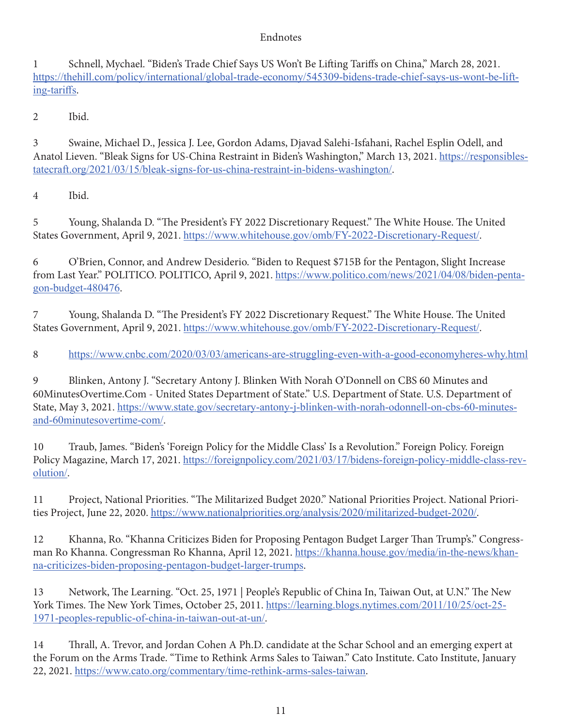#### Endnotes

1 Schnell, Mychael. "Biden's Trade Chief Says US Won't Be Lifting Tariffs on China," March 28, 2021. https://thehill.com/policy/international/global-trade-economy/545309-bidens-trade-chief-says-us-wont-be-lifting-tariffs.

2 Ibid.

3 Swaine, Michael D., Jessica J. Lee, Gordon Adams, Djavad Salehi-Isfahani, Rachel Esplin Odell, and Anatol Lieven. "Bleak Signs for US-China Restraint in Biden's Washington," March 13, 2021. https://responsiblestatecraft.org/2021/03/15/bleak-signs-for-us-china-restraint-in-bidens-washington/.

4 Ibid.

5 Young, Shalanda D. "The President's FY 2022 Discretionary Request." The White House. The United States Government, April 9, 2021. https://www.whitehouse.gov/omb/FY-2022-Discretionary-Request/.

6 O'Brien, Connor, and Andrew Desiderio. "Biden to Request \$715B for the Pentagon, Slight Increase from Last Year." POLITICO. POLITICO, April 9, 2021. https://www.politico.com/news/2021/04/08/biden-pentagon-budget-480476.

7 Young, Shalanda D. "The President's FY 2022 Discretionary Request." The White House. The United States Government, April 9, 2021. https://www.whitehouse.gov/omb/FY-2022-Discretionary-Request/.

8 https://www.cnbc.com/2020/03/03/americans-are-struggling-even-with-a-good-economyheres-why.html

9 Blinken, Antony J. "Secretary Antony J. Blinken With Norah O'Donnell on CBS 60 Minutes and 60MinutesOvertime.Com - United States Department of State." U.S. Department of State. U.S. Department of State, May 3, 2021. https://www.state.gov/secretary-antony-j-blinken-with-norah-odonnell-on-cbs-60-minutesand-60minutesovertime-com/.

10 Traub, James. "Biden's 'Foreign Policy for the Middle Class' Is a Revolution." Foreign Policy. Foreign Policy Magazine, March 17, 2021. https://foreignpolicy.com/2021/03/17/bidens-foreign-policy-middle-class-revolution/.

11 Project, National Priorities. "The Militarized Budget 2020." National Priorities Project. National Priorities Project, June 22, 2020. https://www.nationalpriorities.org/analysis/2020/militarized-budget-2020/.

12 Khanna, Ro. "Khanna Criticizes Biden for Proposing Pentagon Budget Larger Than Trump's." Congressman Ro Khanna. Congressman Ro Khanna, April 12, 2021. https://khanna.house.gov/media/in-the-news/khanna-criticizes-biden-proposing-pentagon-budget-larger-trumps.

13 Network, The Learning. "Oct. 25, 1971 | People's Republic of China In, Taiwan Out, at U.N." The New York Times. The New York Times, October 25, 2011. https://learning.blogs.nytimes.com/2011/10/25/oct-25- 1971-peoples-republic-of-china-in-taiwan-out-at-un/.

14 Thrall, A. Trevor, and Jordan Cohen A Ph.D. candidate at the Schar School and an emerging expert at the Forum on the Arms Trade. "Time to Rethink Arms Sales to Taiwan." Cato Institute. Cato Institute, January 22, 2021. https://www.cato.org/commentary/time-rethink-arms-sales-taiwan.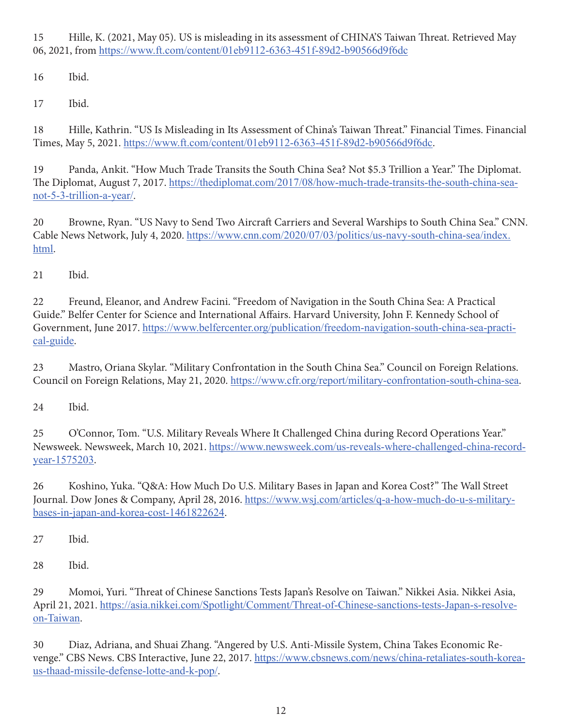15 Hille, K. (2021, May 05). US is misleading in its assessment of CHINA'S Taiwan Threat. Retrieved May 06, 2021, from https://www.ft.com/content/01eb9112-6363-451f-89d2-b90566d9f6dc

16 Ibid.

17 Ibid.

18 Hille, Kathrin. "US Is Misleading in Its Assessment of China's Taiwan Threat." Financial Times. Financial Times, May 5, 2021. https://www.ft.com/content/01eb9112-6363-451f-89d2-b90566d9f6dc.

19 Panda, Ankit. "How Much Trade Transits the South China Sea? Not \$5.3 Trillion a Year." The Diplomat. The Diplomat, August 7, 2017. https://thediplomat.com/2017/08/how-much-trade-transits-the-south-china-seanot-5-3-trillion-a-year/.

20 Browne, Ryan. "US Navy to Send Two Aircraft Carriers and Several Warships to South China Sea." CNN. Cable News Network, July 4, 2020. https://www.cnn.com/2020/07/03/politics/us-navy-south-china-sea/index. html.

21 Ibid.

22 Freund, Eleanor, and Andrew Facini. "Freedom of Navigation in the South China Sea: A Practical Guide." Belfer Center for Science and International Affairs. Harvard University, John F. Kennedy School of Government, June 2017. https://www.belfercenter.org/publication/freedom-navigation-south-china-sea-practical-guide.

23 Mastro, Oriana Skylar. "Military Confrontation in the South China Sea." Council on Foreign Relations. Council on Foreign Relations, May 21, 2020. https://www.cfr.org/report/military-confrontation-south-china-sea.

24 Ibid.

25 O'Connor, Tom. "U.S. Military Reveals Where It Challenged China during Record Operations Year." Newsweek. Newsweek, March 10, 2021. https://www.newsweek.com/us-reveals-where-challenged-china-recordyear-1575203.

26 Koshino, Yuka. "Q&A: How Much Do U.S. Military Bases in Japan and Korea Cost?" The Wall Street Journal. Dow Jones & Company, April 28, 2016. https://www.wsj.com/articles/q-a-how-much-do-u-s-militarybases-in-japan-and-korea-cost-1461822624.

27 Ibid.

28 Ibid.

29 Momoi, Yuri. "Threat of Chinese Sanctions Tests Japan's Resolve on Taiwan." Nikkei Asia. Nikkei Asia, April 21, 2021. https://asia.nikkei.com/Spotlight/Comment/Threat-of-Chinese-sanctions-tests-Japan-s-resolveon-Taiwan.

30 Diaz, Adriana, and Shuai Zhang. "Angered by U.S. Anti-Missile System, China Takes Economic Revenge." CBS News. CBS Interactive, June 22, 2017. https://www.cbsnews.com/news/china-retaliates-south-koreaus-thaad-missile-defense-lotte-and-k-pop/.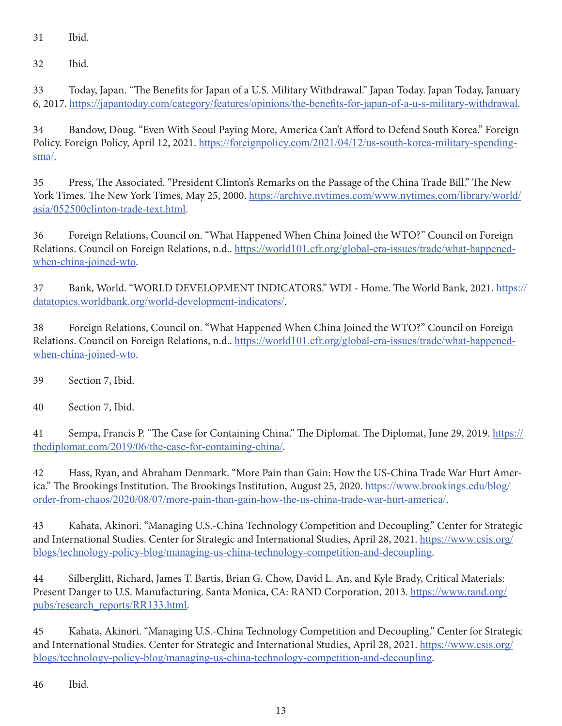31 Ibid.

32 Ibid.

33 Today, Japan. "The Benefits for Japan of a U.S. Military Withdrawal." Japan Today. Japan Today, January 6, 2017. https://japantoday.com/category/features/opinions/the-benefits-for-japan-of-a-u-s-military-withdrawal.

34 Bandow, Doug. "Even With Seoul Paying More, America Can't Afford to Defend South Korea." Foreign Policy. Foreign Policy, April 12, 2021. https://foreignpolicy.com/2021/04/12/us-south-korea-military-spendingsma/.

35 Press, The Associated. "President Clinton's Remarks on the Passage of the China Trade Bill." The New York Times. The New York Times, May 25, 2000. https://archive.nytimes.com/www.nytimes.com/library/world/ asia/052500clinton-trade-text.html.

36 Foreign Relations, Council on. "What Happened When China Joined the WTO?" Council on Foreign Relations. Council on Foreign Relations, n.d.. https://world101.cfr.org/global-era-issues/trade/what-happenedwhen-china-joined-wto.

37 Bank, World. "WORLD DEVELOPMENT INDICATORS." WDI - Home. The World Bank, 2021. https:// datatopics.worldbank.org/world-development-indicators/.

38 Foreign Relations, Council on. "What Happened When China Joined the WTO?" Council on Foreign Relations. Council on Foreign Relations, n.d.. https://world101.cfr.org/global-era-issues/trade/what-happenedwhen-china-joined-wto.

39 Section 7, Ibid.

40 Section 7, Ibid.

41 Sempa, Francis P. "The Case for Containing China." The Diplomat. The Diplomat, June 29, 2019. https:// thediplomat.com/2019/06/the-case-for-containing-china/.

42 Hass, Ryan, and Abraham Denmark. "More Pain than Gain: How the US-China Trade War Hurt America." The Brookings Institution. The Brookings Institution, August 25, 2020. https://www.brookings.edu/blog/ order-from-chaos/2020/08/07/more-pain-than-gain-how-the-us-china-trade-war-hurt-america/.

43 Kahata, Akinori. "Managing U.S.-China Technology Competition and Decoupling." Center for Strategic and International Studies. Center for Strategic and International Studies, April 28, 2021. https://www.csis.org/ blogs/technology-policy-blog/managing-us-china-technology-competition-and-decoupling.

44 Silberglitt, Richard, James T. Bartis, Brian G. Chow, David L. An, and Kyle Brady, Critical Materials: Present Danger to U.S. Manufacturing. Santa Monica, CA: RAND Corporation, 2013. https://www.rand.org/ pubs/research\_reports/RR133.html.

45 Kahata, Akinori. "Managing U.S.-China Technology Competition and Decoupling." Center for Strategic and International Studies. Center for Strategic and International Studies, April 28, 2021. https://www.csis.org/ blogs/technology-policy-blog/managing-us-china-technology-competition-and-decoupling.

46 Ibid.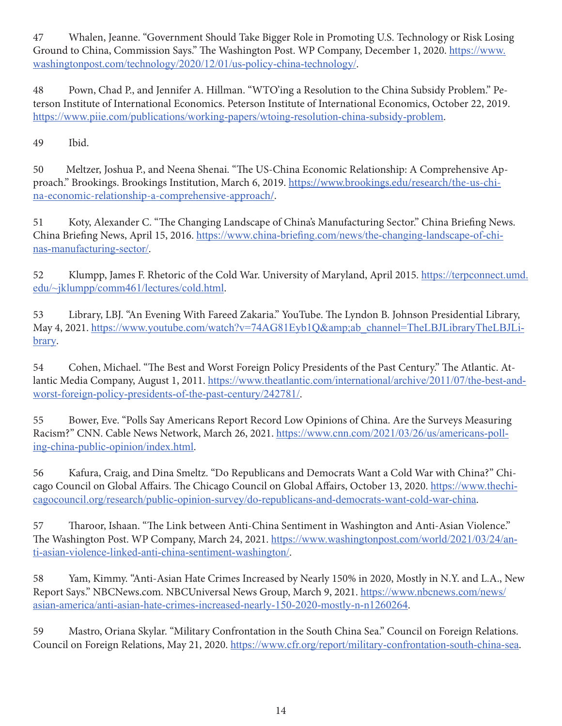47 Whalen, Jeanne. "Government Should Take Bigger Role in Promoting U.S. Technology or Risk Losing Ground to China, Commission Says." The Washington Post. WP Company, December 1, 2020. https://www. washingtonpost.com/technology/2020/12/01/us-policy-china-technology/.

48 Pown, Chad P., and Jennifer A. Hillman. "WTO'ing a Resolution to the China Subsidy Problem." Peterson Institute of International Economics. Peterson Institute of International Economics, October 22, 2019. https://www.piie.com/publications/working-papers/wtoing-resolution-china-subsidy-problem.

49 Ibid.

50 Meltzer, Joshua P., and Neena Shenai. "The US-China Economic Relationship: A Comprehensive Approach." Brookings. Brookings Institution, March 6, 2019. https://www.brookings.edu/research/the-us-china-economic-relationship-a-comprehensive-approach/.

51 Koty, Alexander C. "The Changing Landscape of China's Manufacturing Sector." China Briefing News. China Briefing News, April 15, 2016. https://www.china-briefing.com/news/the-changing-landscape-of-chinas-manufacturing-sector/.

52 Klumpp, James F. Rhetoric of the Cold War. University of Maryland, April 2015. https://terpconnect.umd. edu/~jklumpp/comm461/lectures/cold.html.

53 Library, LBJ. "An Evening With Fareed Zakaria." YouTube. The Lyndon B. Johnson Presidential Library, May 4, 2021. https://www.youtube.com/watch?v=74AG81Eyb1Q&ab\_channel=TheLBJLibraryTheLBJLibrary.

54 Cohen, Michael. "The Best and Worst Foreign Policy Presidents of the Past Century." The Atlantic. Atlantic Media Company, August 1, 2011. https://www.theatlantic.com/international/archive/2011/07/the-best-andworst-foreign-policy-presidents-of-the-past-century/242781/.

55 Bower, Eve. "Polls Say Americans Report Record Low Opinions of China. Are the Surveys Measuring Racism?" CNN. Cable News Network, March 26, 2021. https://www.cnn.com/2021/03/26/us/americans-polling-china-public-opinion/index.html.

56 Kafura, Craig, and Dina Smeltz. "Do Republicans and Democrats Want a Cold War with China?" Chicago Council on Global Affairs. The Chicago Council on Global Affairs, October 13, 2020. https://www.thechicagocouncil.org/research/public-opinion-survey/do-republicans-and-democrats-want-cold-war-china.

57 Tharoor, Ishaan. "The Link between Anti-China Sentiment in Washington and Anti-Asian Violence." The Washington Post. WP Company, March 24, 2021. https://www.washingtonpost.com/world/2021/03/24/anti-asian-violence-linked-anti-china-sentiment-washington/.

58 Yam, Kimmy. "Anti-Asian Hate Crimes Increased by Nearly 150% in 2020, Mostly in N.Y. and L.A., New Report Says." NBCNews.com. NBCUniversal News Group, March 9, 2021. https://www.nbcnews.com/news/ asian-america/anti-asian-hate-crimes-increased-nearly-150-2020-mostly-n-n1260264.

59 Mastro, Oriana Skylar. "Military Confrontation in the South China Sea." Council on Foreign Relations. Council on Foreign Relations, May 21, 2020. https://www.cfr.org/report/military-confrontation-south-china-sea.